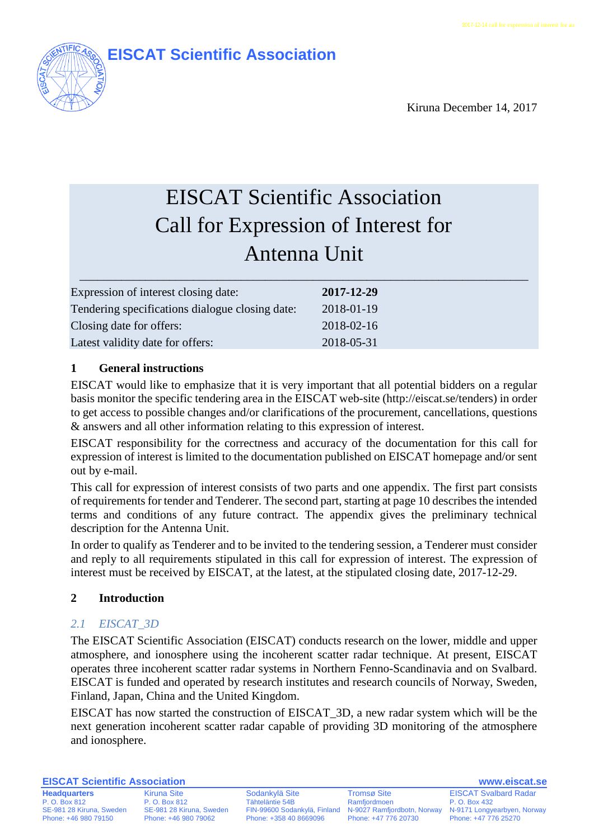

Kiruna December 14, 2017

# EISCAT Scientific Association Call for Expression of Interest for Antenna Unit

| 2017-12-29 |
|------------|
| 2018-01-19 |
| 2018-02-16 |
| 2018-05-31 |
|            |

# **1 General instructions**

EISCAT would like to emphasize that it is very important that all potential bidders on a regular basis monitor the specific tendering area in the EISCAT web-site [\(http://eiscat.se/tenders\)](http://eiscat.se/tenders) in order to get access to possible changes and/or clarifications of the procurement, cancellations, questions & answers and all other information relating to this expression of interest.

EISCAT responsibility for the correctness and accuracy of the documentation for this call for expression of interest is limited to the documentation published on EISCAT homepage and/or sent out by e-mail.

This call for expression of interest consists of two parts and one appendix. The first part consists of requirements for tender and Tenderer. The second part, starting at page [10](#page-9-0) describes the intended terms and conditions of any future contract. The appendix gives the preliminary technical description for the Antenna Unit.

In order to qualify as Tenderer and to be invited to the tendering session, a Tenderer must consider and reply to all requirements stipulated in this call for expression of interest. The expression of interest must be received by EISCAT, at the latest, at the stipulated closing date, 2017-12-29.

# **2 Introduction**

# *2.1 EISCAT\_3D*

The EISCAT Scientific Association (EISCAT) conducts research on the lower, middle and upper atmosphere, and ionosphere using the incoherent scatter radar technique. At present, EISCAT operates three incoherent scatter radar systems in Northern Fenno-Scandinavia and on Svalbard. EISCAT is funded and operated by research institutes and research councils of Norway, Sweden, Finland, Japan, China and the United Kingdom.

EISCAT has now started the construction of EISCAT\_3D, a new radar system which will be the next generation incoherent scatter radar capable of providing 3D monitoring of the atmosphere and ionosphere.

**EISCAT Scientific Association www.eiscat.se**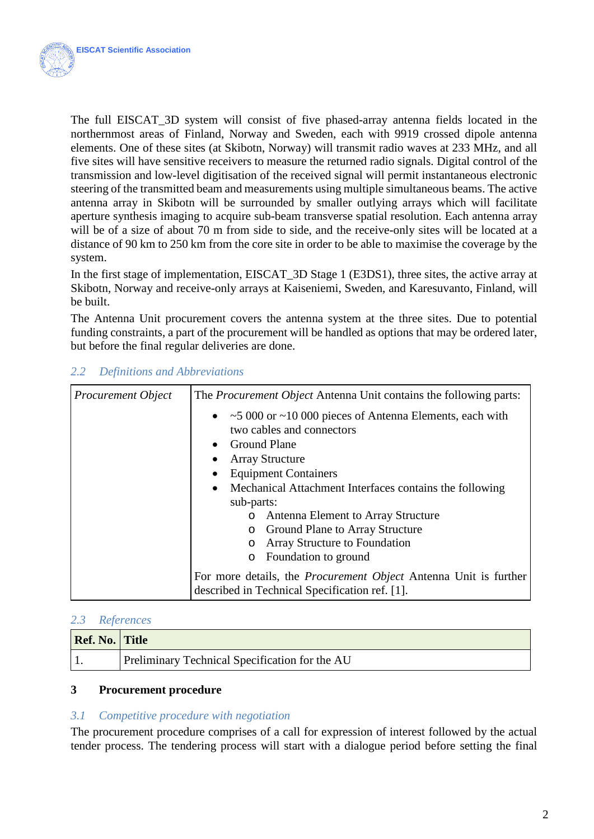

The full EISCAT\_3D system will consist of five phased-array antenna fields located in the northernmost areas of Finland, Norway and Sweden, each with 9919 crossed dipole antenna elements. One of these sites (at Skibotn, Norway) will transmit radio waves at 233 MHz, and all five sites will have sensitive receivers to measure the returned radio signals. Digital control of the transmission and low-level digitisation of the received signal will permit instantaneous electronic steering of the transmitted beam and measurements using multiple simultaneous beams. The active antenna array in Skibotn will be surrounded by smaller outlying arrays which will facilitate aperture synthesis imaging to acquire sub-beam transverse spatial resolution. Each antenna array will be of a size of about 70 m from side to side, and the receive-only sites will be located at a distance of 90 km to 250 km from the core site in order to be able to maximise the coverage by the system.

In the first stage of implementation, EISCAT\_3D Stage 1 (E3DS1), three sites, the active array at Skibotn, Norway and receive-only arrays at Kaiseniemi, Sweden, and Karesuvanto, Finland, will be built.

The Antenna Unit procurement covers the antenna system at the three sites. Due to potential funding constraints, a part of the procurement will be handled as options that may be ordered later, but before the final regular deliveries are done.

| <b>Procurement Object</b> | The <i>Procurement Object</i> Antenna Unit contains the following parts:                                                                                                                                                                                                                                                                                                                                                             |  |
|---------------------------|--------------------------------------------------------------------------------------------------------------------------------------------------------------------------------------------------------------------------------------------------------------------------------------------------------------------------------------------------------------------------------------------------------------------------------------|--|
|                           | • $\sim$ 5 000 or $\sim$ 10 000 pieces of Antenna Elements, each with<br>two cables and connectors<br>• Ground Plane<br><b>Array Structure</b><br>$\bullet$<br><b>Equipment Containers</b><br>$\bullet$<br>Mechanical Attachment Interfaces contains the following<br>$\bullet$<br>sub-parts:<br>o Antenna Element to Array Structure<br><b>O</b> Ground Plane to Array Structure<br><b>Array Structure to Foundation</b><br>$\circ$ |  |
|                           | Foundation to ground<br>$\circ$                                                                                                                                                                                                                                                                                                                                                                                                      |  |
|                           | For more details, the <i>Procurement Object</i> Antenna Unit is further                                                                                                                                                                                                                                                                                                                                                              |  |
|                           | described in Technical Specification ref. [1].                                                                                                                                                                                                                                                                                                                                                                                       |  |

# *2.2 Definitions and Abbreviations*

#### *2.3 References*

| Ref. No. Title |                                                |
|----------------|------------------------------------------------|
|                | Preliminary Technical Specification for the AU |

#### **3 Procurement procedure**

#### *3.1 Competitive procedure with negotiation*

The procurement procedure comprises of a call for expression of interest followed by the actual tender process. The tendering process will start with a dialogue period before setting the final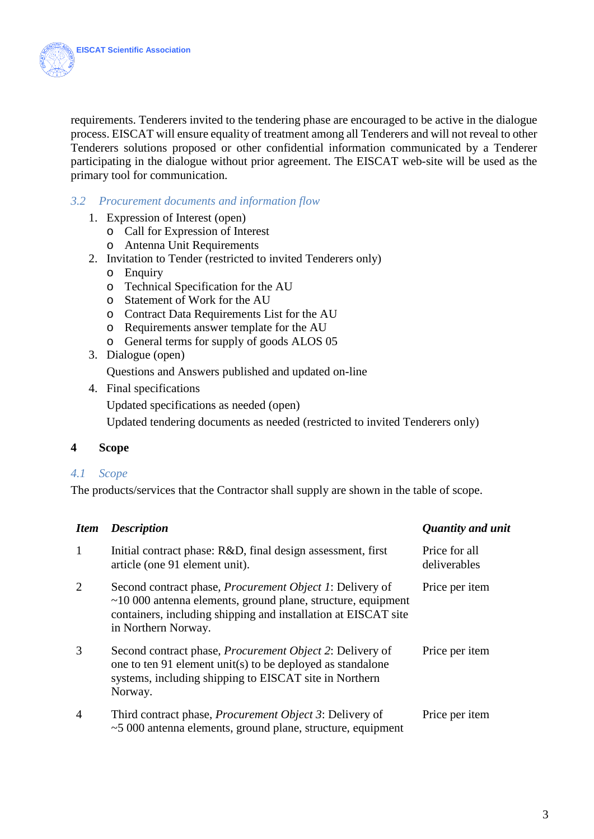

requirements. Tenderers invited to the tendering phase are encouraged to be active in the dialogue process. EISCAT will ensure equality of treatment among all Tenderers and will not reveal to other Tenderers solutions proposed or other confidential information communicated by a Tenderer participating in the dialogue without prior agreement. The EISCAT web-site will be used as the primary tool for communication.

#### *3.2 Procurement documents and information flow*

- 1. Expression of Interest (open)
	- o Call for Expression of Interest
	- o Antenna Unit Requirements
- 2. Invitation to Tender (restricted to invited Tenderers only)
	- o Enquiry
	- o Technical Specification for the AU
	- o Statement of Work for the AU
	- o Contract Data Requirements List for the AU
	- o Requirements answer template for the AU
	- o General terms for supply of goods ALOS 05
- 3. Dialogue (open)

Questions and Answers published and updated on-line

4. Final specifications

Updated specifications as needed (open)

Updated tendering documents as needed (restricted to invited Tenderers only)

#### **4 Scope**

#### *4.1 Scope*

The products/services that the Contractor shall supply are shown in the table of scope.

| <b>Item</b>    | <b>Description</b>                                                                                                                                                                                                         | Quantity and unit             |
|----------------|----------------------------------------------------------------------------------------------------------------------------------------------------------------------------------------------------------------------------|-------------------------------|
| 1              | Initial contract phase: R&D, final design assessment, first<br>article (one 91 element unit).                                                                                                                              | Price for all<br>deliverables |
| $\overline{2}$ | Second contract phase, <i>Procurement Object 1</i> : Delivery of<br>$~10000$ antenna elements, ground plane, structure, equipment<br>containers, including shipping and installation at EISCAT site<br>in Northern Norway. | Price per item                |
| 3              | Second contract phase, <i>Procurement Object 2</i> : Delivery of<br>one to ten 91 element unit(s) to be deployed as standalone<br>systems, including shipping to EISCAT site in Northern<br>Norway.                        | Price per item                |
| $\overline{4}$ | Third contract phase, <i>Procurement Object 3</i> : Delivery of<br>$\sim$ 5 000 antenna elements, ground plane, structure, equipment                                                                                       | Price per item                |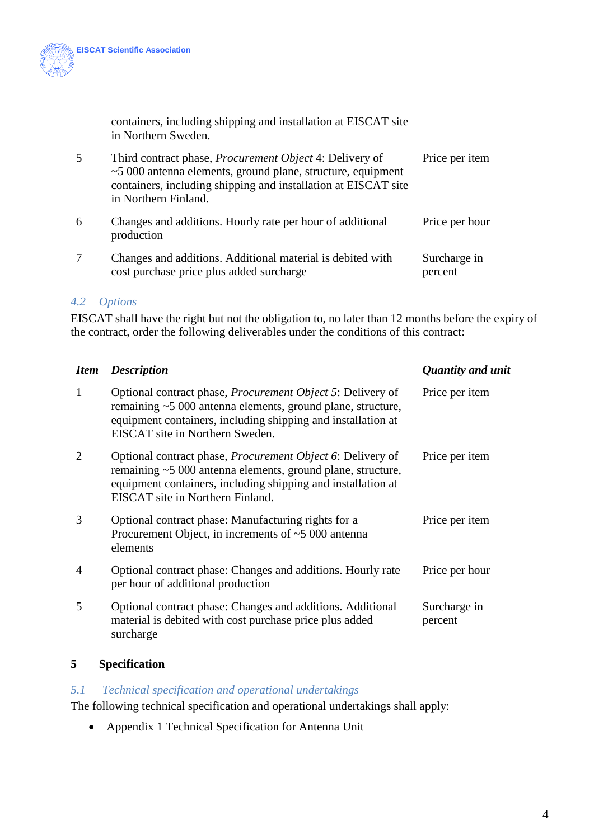

containers, including shipping and installation at EISCAT site in Northern Sweden.

| 5 | Third contract phase, <i>Procurement Object</i> 4: Delivery of<br>$\sim$ 5 000 antenna elements, ground plane, structure, equipment<br>containers, including shipping and installation at EISCAT site<br>in Northern Finland. | Price per item  |
|---|-------------------------------------------------------------------------------------------------------------------------------------------------------------------------------------------------------------------------------|-----------------|
| 6 | Changes and additions. Hourly rate per hour of additional<br>production                                                                                                                                                       | Price per hour  |
|   | Changes and additional Additional material is debited with                                                                                                                                                                    | $S$ uraharga in |

#### 7 Changes and additions. Additional material is debited with cost purchase price plus added surcharge Surcharge in percent

#### *4.2 Options*

EISCAT shall have the right but not the obligation to, no later than 12 months before the expiry of the contract, order the following deliverables under the conditions of this contract:

| <b>Item</b> | <b>Description</b>                                                                                                                                                                                                                   | Quantity and unit       |
|-------------|--------------------------------------------------------------------------------------------------------------------------------------------------------------------------------------------------------------------------------------|-------------------------|
| 1           | Optional contract phase, <i>Procurement Object 5</i> : Delivery of<br>remaining ~5 000 antenna elements, ground plane, structure,<br>equipment containers, including shipping and installation at<br>EISCAT site in Northern Sweden. | Price per item          |
| 2           | Optional contract phase, <i>Procurement Object</i> 6: Delivery of<br>remaining ~5 000 antenna elements, ground plane, structure,<br>equipment containers, including shipping and installation at<br>EISCAT site in Northern Finland. | Price per item          |
| 3           | Optional contract phase: Manufacturing rights for a<br>Procurement Object, in increments of $~5000$ antenna<br>elements                                                                                                              | Price per item          |
| 4           | Optional contract phase: Changes and additions. Hourly rate<br>per hour of additional production                                                                                                                                     | Price per hour          |
| 5           | Optional contract phase: Changes and additions. Additional<br>material is debited with cost purchase price plus added<br>surcharge                                                                                                   | Surcharge in<br>percent |

#### **5 Specification**

#### *5.1 Technical specification and operational undertakings*

The following technical specification and operational undertakings shall apply:

• Appendix 1 Technical Specification for Antenna Unit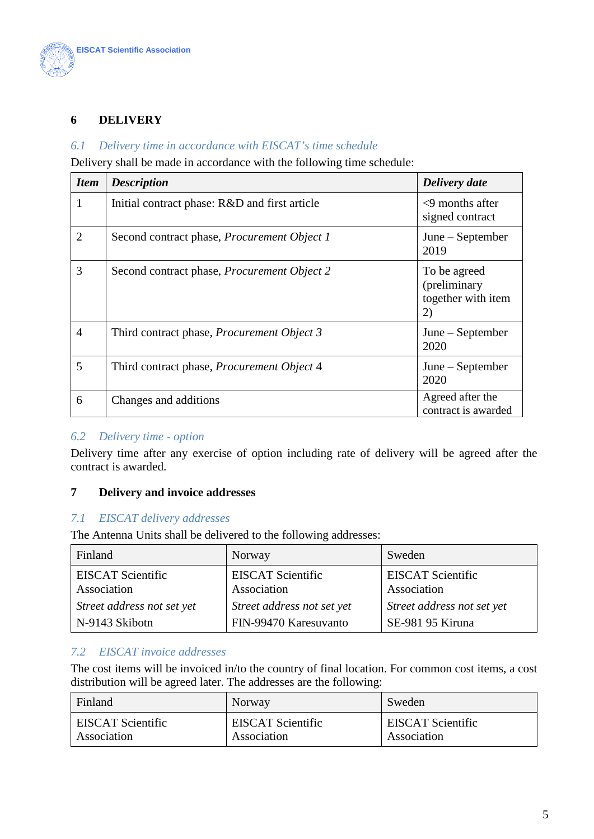

# **6 DELIVERY**

#### *6.1 Delivery time in accordance with EISCAT's time schedule*

Delivery shall be made in accordance with the following time schedule:

| <b>Item</b>    | <b>Description</b>                                 | Delivery date                                            |
|----------------|----------------------------------------------------|----------------------------------------------------------|
| 1              | Initial contract phase: R&D and first article      | $\leq$ 9 months after<br>signed contract                 |
| $\overline{2}$ | Second contract phase, <i>Procurement Object 1</i> | June – September<br>2019                                 |
| 3              | Second contract phase, <i>Procurement Object 2</i> | To be agreed<br>(preliminary<br>together with item<br>2) |
| 4              | Third contract phase, <i>Procurement Object 3</i>  | June – September<br>2020                                 |
| 5              | Third contract phase, <i>Procurement Object</i> 4  | June – September<br>2020                                 |
| 6              | Changes and additions                              | Agreed after the<br>contract is awarded                  |

#### *6.2 Delivery time - option*

Delivery time after any exercise of option including rate of delivery will be agreed after the contract is awarded.

#### **7 Delivery and invoice addresses**

#### *7.1 EISCAT delivery addresses*

The Antenna Units shall be delivered to the following addresses:

| Finland                    | Norway                     | Sweden                     |
|----------------------------|----------------------------|----------------------------|
| <b>EISCAT Scientific</b>   | <b>EISCAT Scientific</b>   | <b>EISCAT Scientific</b>   |
| Association                | Association                | Association                |
| Street address not set yet | Street address not set yet | Street address not set yet |
| N-9143 Skibotn             | FIN-99470 Karesuvanto      | SE-981 95 Kiruna           |

#### *7.2 EISCAT invoice addresses*

The cost items will be invoiced in/to the country of final location. For common cost items, a cost distribution will be agreed later. The addresses are the following:

| Finland                  | Norway                   | Sweden                   |
|--------------------------|--------------------------|--------------------------|
| <b>EISCAT Scientific</b> | <b>EISCAT Scientific</b> | <b>EISCAT Scientific</b> |
| Association              | Association              | Association              |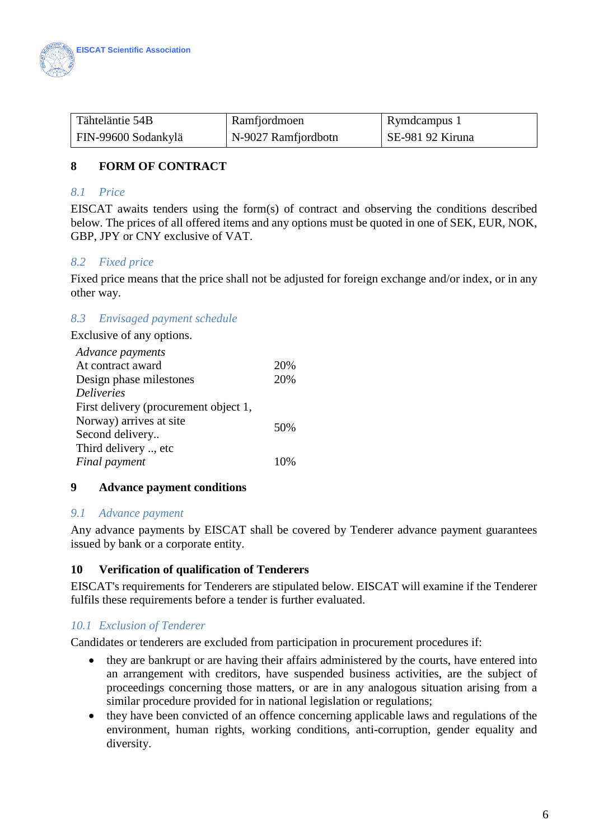

| Tähteläntie 54B     | Ramfjordmoen        | Rymdcampus 1     |
|---------------------|---------------------|------------------|
| FIN-99600 Sodankylä | N-9027 Ramfjordbotn | SE-981 92 Kiruna |

# **8 FORM OF CONTRACT**

#### *8.1 Price*

EISCAT awaits tenders using the form(s) of contract and observing the conditions described below. The prices of all offered items and any options must be quoted in one of SEK, EUR, NOK, GBP, JPY or CNY exclusive of VAT.

#### *8.2 Fixed price*

Fixed price means that the price shall not be adjusted for foreign exchange and/or index, or in any other way.

#### *8.3 Envisaged payment schedule*

Exclusive of any options.

| Advance payments                      |      |
|---------------------------------------|------|
| At contract award                     | 20%  |
| Design phase milestones               | 20%  |
| <b>Deliveries</b>                     |      |
| First delivery (procurement object 1, |      |
| Norway) arrives at site               | 50%  |
| Second delivery                       |      |
| Third delivery , etc                  |      |
| Final payment                         | 1()% |

#### **9 Advance payment conditions**

#### *9.1 Advance payment*

Any advance payments by EISCAT shall be covered by Tenderer advance payment guarantees issued by bank or a corporate entity.

#### **10 Verification of qualification of Tenderers**

EISCAT's requirements for Tenderers are stipulated below. EISCAT will examine if the Tenderer fulfils these requirements before a tender is further evaluated.

#### *10.1 Exclusion of Tenderer*

Candidates or tenderers are excluded from participation in procurement procedures if:

- they are bankrupt or are having their affairs administered by the courts, have entered into an arrangement with creditors, have suspended business activities, are the subject of proceedings concerning those matters, or are in any analogous situation arising from a similar procedure provided for in national legislation or regulations;
- they have been convicted of an offence concerning applicable laws and regulations of the environment, human rights, working conditions, anti-corruption, gender equality and diversity.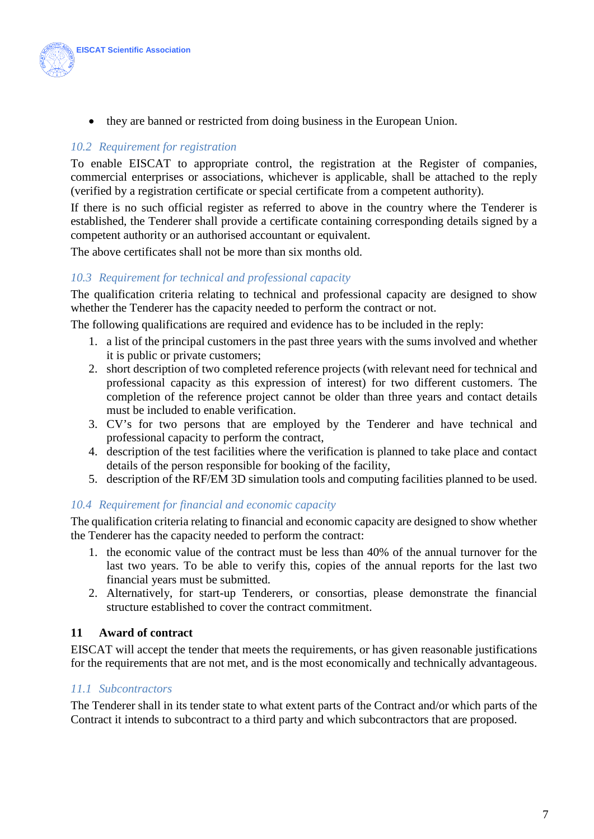

• they are banned or restricted from doing business in the European Union.

### *10.2 Requirement for registration*

To enable EISCAT to appropriate control, the registration at the Register of companies, commercial enterprises or associations, whichever is applicable, shall be attached to the reply (verified by a registration certificate or special certificate from a competent authority).

If there is no such official register as referred to above in the country where the Tenderer is established, the Tenderer shall provide a certificate containing corresponding details signed by a competent authority or an authorised accountant or equivalent.

The above certificates shall not be more than six months old.

# *10.3 Requirement for technical and professional capacity*

The qualification criteria relating to technical and professional capacity are designed to show whether the Tenderer has the capacity needed to perform the contract or not.

The following qualifications are required and evidence has to be included in the reply:

- 1. a list of the principal customers in the past three years with the sums involved and whether it is public or private customers;
- 2. short description of two completed reference projects (with relevant need for technical and professional capacity as this expression of interest) for two different customers. The completion of the reference project cannot be older than three years and contact details must be included to enable verification.
- 3. CV's for two persons that are employed by the Tenderer and have technical and professional capacity to perform the contract,
- 4. description of the test facilities where the verification is planned to take place and contact details of the person responsible for booking of the facility,
- 5. description of the RF/EM 3D simulation tools and computing facilities planned to be used.

#### *10.4 Requirement for financial and economic capacity*

The qualification criteria relating to financial and economic capacity are designed to show whether the Tenderer has the capacity needed to perform the contract:

- 1. the economic value of the contract must be less than 40% of the annual turnover for the last two years. To be able to verify this, copies of the annual reports for the last two financial years must be submitted.
- 2. Alternatively, for start-up Tenderers, or consortias, please demonstrate the financial structure established to cover the contract commitment.

#### **11 Award of contract**

EISCAT will accept the tender that meets the requirements, or has given reasonable justifications for the requirements that are not met, and is the most economically and technically advantageous.

#### *11.1 Subcontractors*

The Tenderer shall in its tender state to what extent parts of the Contract and/or which parts of the Contract it intends to subcontract to a third party and which subcontractors that are proposed.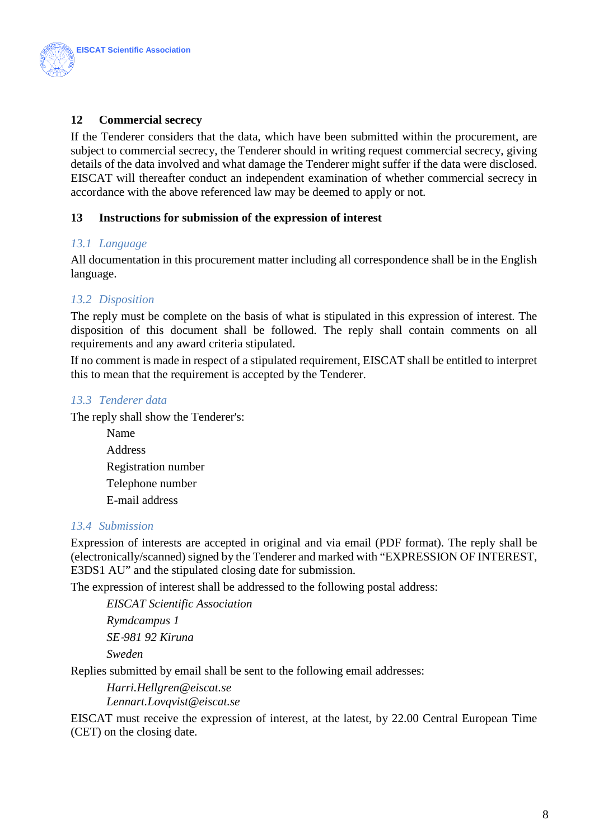

# **12 Commercial secrecy**

If the Tenderer considers that the data, which have been submitted within the procurement, are subject to commercial secrecy, the Tenderer should in writing request commercial secrecy, giving details of the data involved and what damage the Tenderer might suffer if the data were disclosed. EISCAT will thereafter conduct an independent examination of whether commercial secrecy in accordance with the above referenced law may be deemed to apply or not.

#### **13 Instructions for submission of the expression of interest**

#### *13.1 Language*

All documentation in this procurement matter including all correspondence shall be in the English language.

#### *13.2 Disposition*

The reply must be complete on the basis of what is stipulated in this expression of interest. The disposition of this document shall be followed. The reply shall contain comments on all requirements and any award criteria stipulated.

If no comment is made in respect of a stipulated requirement, EISCAT shall be entitled to interpret this to mean that the requirement is accepted by the Tenderer.

#### *13.3 Tenderer data*

The reply shall show the Tenderer's:

Name Address Registration number Telephone number E-mail address

#### *13.4 Submission*

Expression of interests are accepted in original and via email (PDF format). The reply shall be (electronically/scanned) signed by the Tenderer and marked with "EXPRESSION OF INTEREST, E3DS1 AU" and the stipulated closing date for submission.

The expression of interest shall be addressed to the following postal address:

*EISCAT Scientific Association Rymdcampus 1 SE*‐*981 92 Kiruna Sweden* 

Replies submitted by email shall be sent to the following email addresses:

*Harri.Hellgren@eiscat.se Lennart.Lovqvist@eiscat.se*

EISCAT must receive the expression of interest, at the latest, by 22.00 Central European Time (CET) on the closing date.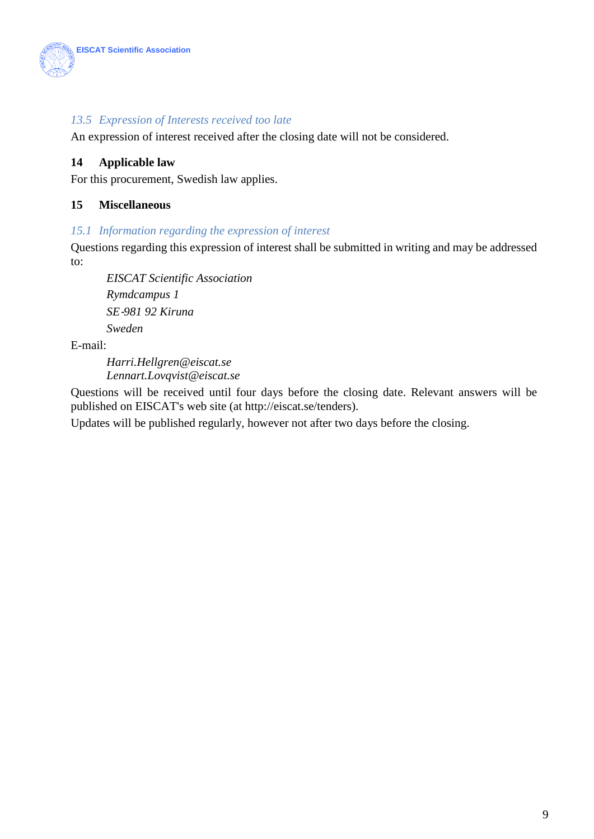

### *13.5 Expression of Interests received too late*

An expression of interest received after the closing date will not be considered.

# **14 Applicable law**

For this procurement, Swedish law applies.

#### **15 Miscellaneous**

#### *15.1 Information regarding the expression of interest*

Questions regarding this expression of interest shall be submitted in writing and may be addressed to:

*EISCAT Scientific Association Rymdcampus 1 SE*‐*981 92 Kiruna Sweden* 

E-mail:

*Harri.Hellgren@eiscat.se Lennart.Lovqvist@eiscat.se*

Questions will be received until four days before the closing date. Relevant answers will be published on EISCAT's web site (at [http://eiscat.se/tenders\)](http://eiscat.se/tenders).

Updates will be published regularly, however not after two days before the closing.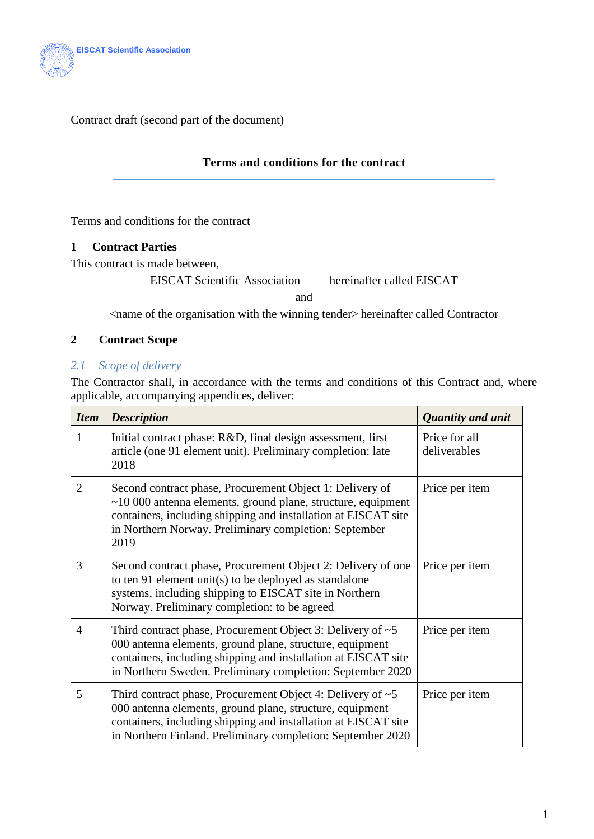

Contract draft (second part of the document)

#### **Terms and conditions for the contract**

<span id="page-9-0"></span>Terms and conditions for the contract

# **1 Contract Parties**

This contract is made between,

EISCAT Scientific Association hereinafter called EISCAT

and

<name of the organisation with the winning tender> hereinafter called Contractor

#### **2 Contract Scope**

# *2.1 Scope of delivery*

The Contractor shall, in accordance with the terms and conditions of this Contract and, where applicable, accompanying appendices, deliver:

| <b>Item</b>    | <b>Description</b>                                                                                                                                                                                                                                                | <b>Quantity and unit</b>      |
|----------------|-------------------------------------------------------------------------------------------------------------------------------------------------------------------------------------------------------------------------------------------------------------------|-------------------------------|
| 1              | Initial contract phase: R&D, final design assessment, first<br>article (one 91 element unit). Preliminary completion: late<br>2018                                                                                                                                | Price for all<br>deliverables |
| $\overline{2}$ | Second contract phase, Procurement Object 1: Delivery of<br>$\sim$ 10 000 antenna elements, ground plane, structure, equipment<br>containers, including shipping and installation at EISCAT site<br>in Northern Norway. Preliminary completion: September<br>2019 | Price per item                |
| 3              | Second contract phase, Procurement Object 2: Delivery of one<br>to ten 91 element unit(s) to be deployed as standalone<br>systems, including shipping to EISCAT site in Northern<br>Norway. Preliminary completion: to be agreed                                  | Price per item                |
| 4              | Third contract phase, Procurement Object 3: Delivery of $\sim$ 5<br>000 antenna elements, ground plane, structure, equipment<br>containers, including shipping and installation at EISCAT site<br>in Northern Sweden. Preliminary completion: September 2020      | Price per item                |
| 5              | Third contract phase, Procurement Object 4: Delivery of $\sim$ 5<br>000 antenna elements, ground plane, structure, equipment<br>containers, including shipping and installation at EISCAT site<br>in Northern Finland. Preliminary completion: September 2020     | Price per item                |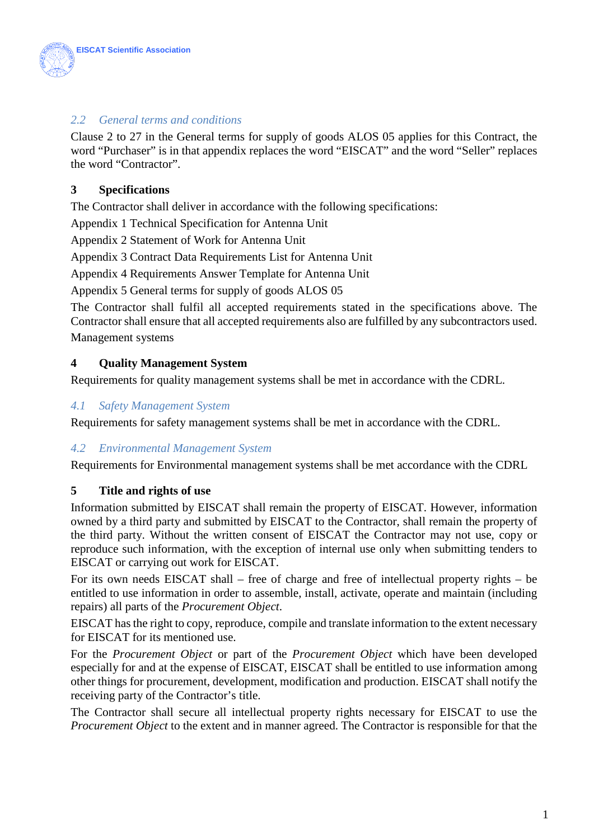

# *2.2 General terms and conditions*

Clause 2 to 27 in the General terms for supply of goods ALOS 05 applies for this Contract, the word "Purchaser" is in that appendix replaces the word "EISCAT" and the word "Seller" replaces the word "Contractor".

# **3 Specifications**

The Contractor shall deliver in accordance with the following specifications:

Appendix 1 Technical Specification for Antenna Unit

Appendix 2 Statement of Work for Antenna Unit

Appendix 3 Contract Data Requirements List for Antenna Unit

Appendix 4 Requirements Answer Template for Antenna Unit

Appendix 5 General terms for supply of goods ALOS 05

The Contractor shall fulfil all accepted requirements stated in the specifications above. The Contractor shall ensure that all accepted requirements also are fulfilled by any subcontractors used. Management systems

# **4 Quality Management System**

Requirements for quality management systems shall be met in accordance with the CDRL.

#### *4.1 Safety Management System*

Requirements for safety management systems shall be met in accordance with the CDRL.

#### *4.2 Environmental Management System*

Requirements for Environmental management systems shall be met accordance with the CDRL

#### **5 Title and rights of use**

Information submitted by EISCAT shall remain the property of EISCAT. However, information owned by a third party and submitted by EISCAT to the Contractor, shall remain the property of the third party. Without the written consent of EISCAT the Contractor may not use, copy or reproduce such information, with the exception of internal use only when submitting tenders to EISCAT or carrying out work for EISCAT.

For its own needs EISCAT shall – free of charge and free of intellectual property rights – be entitled to use information in order to assemble, install, activate, operate and maintain (including repairs) all parts of the *Procurement Object*.

EISCAT has the right to copy, reproduce, compile and translate information to the extent necessary for EISCAT for its mentioned use.

For the *Procurement Object* or part of the *Procurement Object* which have been developed especially for and at the expense of EISCAT, EISCAT shall be entitled to use information among other things for procurement, development, modification and production. EISCAT shall notify the receiving party of the Contractor's title.

The Contractor shall secure all intellectual property rights necessary for EISCAT to use the *Procurement Object* to the extent and in manner agreed. The Contractor is responsible for that the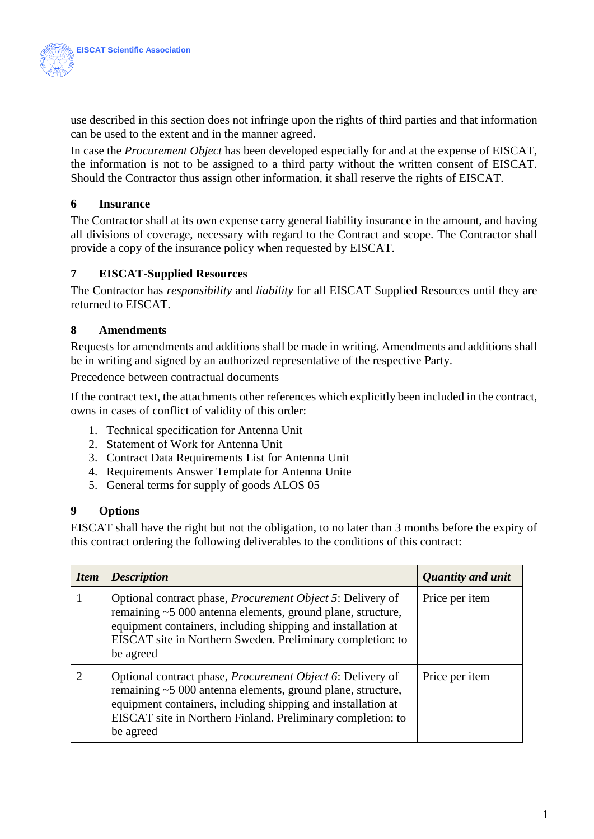

use described in this section does not infringe upon the rights of third parties and that information can be used to the extent and in the manner agreed.

In case the *Procurement Object* has been developed especially for and at the expense of EISCAT, the information is not to be assigned to a third party without the written consent of EISCAT. Should the Contractor thus assign other information, it shall reserve the rights of EISCAT.

### **6 Insurance**

The Contractor shall at its own expense carry general liability insurance in the amount, and having all divisions of coverage, necessary with regard to the Contract and scope. The Contractor shall provide a copy of the insurance policy when requested by EISCAT.

# **7 EISCAT-Supplied Resources**

The Contractor has *responsibility* and *liability* for all EISCAT Supplied Resources until they are returned to EISCAT.

# **8 Amendments**

Requests for amendments and additions shall be made in writing. Amendments and additions shall be in writing and signed by an authorized representative of the respective Party.

Precedence between contractual documents

If the contract text, the attachments other references which explicitly been included in the contract, owns in cases of conflict of validity of this order:

- 1. Technical specification for Antenna Unit
- 2. Statement of Work for Antenna Unit
- 3. Contract Data Requirements List for Antenna Unit
- 4. Requirements Answer Template for Antenna Unite
- 5. General terms for supply of goods ALOS 05

#### **9 Options**

EISCAT shall have the right but not the obligation, to no later than 3 months before the expiry of this contract ordering the following deliverables to the conditions of this contract:

| <b>Item</b> | <b>Description</b>                                                                                                                                                                                                                                                            | <b>Quantity and unit</b> |
|-------------|-------------------------------------------------------------------------------------------------------------------------------------------------------------------------------------------------------------------------------------------------------------------------------|--------------------------|
|             | Optional contract phase, <i>Procurement Object 5</i> : Delivery of<br>remaining ~5 000 antenna elements, ground plane, structure,<br>equipment containers, including shipping and installation at<br>EISCAT site in Northern Sweden. Preliminary completion: to<br>be agreed  | Price per item           |
|             | Optional contract phase, <i>Procurement Object 6</i> : Delivery of<br>remaining ~5 000 antenna elements, ground plane, structure,<br>equipment containers, including shipping and installation at<br>EISCAT site in Northern Finland. Preliminary completion: to<br>be agreed | Price per item           |